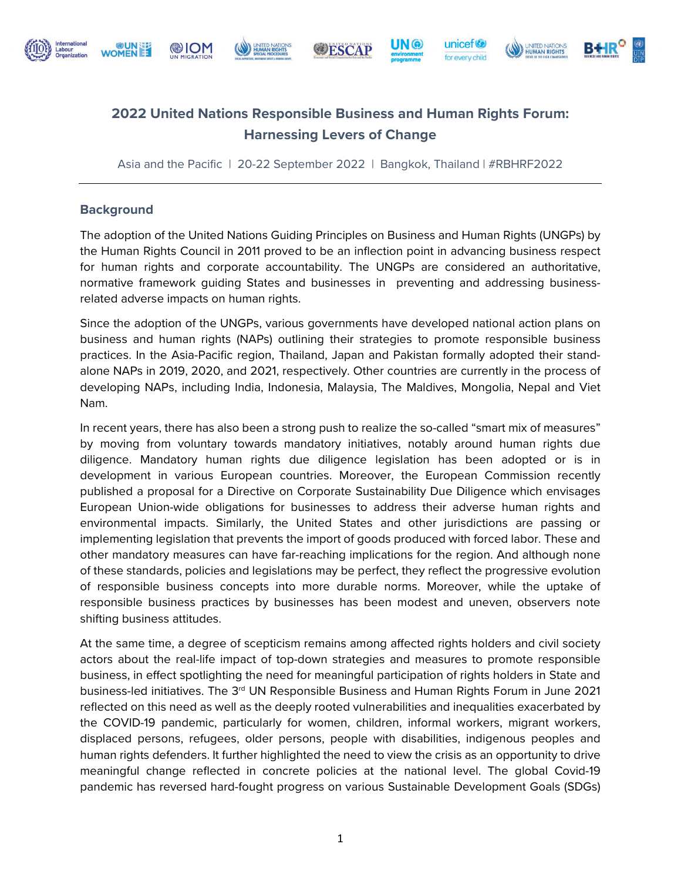

# **@ION**

UNITED NA

**WESCAP** 







# **2022 United Nations Responsible Business and Human Rights Forum: Harnessing Levers of Change**

Asia and the Pacific | 20-22 September 2022 | Bangkok, Thailand | #RBHRF2022

#### **Background**

The adoption of the United Nations Guiding Principles on Business and Human Rights (UNGPs) by the Human Rights Council in 2011 proved to be an inflection point in advancing business respect for human rights and corporate accountability. The UNGPs are considered an authoritative, normative framework guiding States and businesses in preventing and addressing businessrelated adverse impacts on human rights.

Since the adoption of the UNGPs, various governments have developed national action plans on business and human rights (NAPs) outlining their strategies to promote responsible business practices. In the Asia-Pacific region, Thailand, Japan and Pakistan formally adopted their standalone NAPs in 2019, 2020, and 2021, respectively. Other countries are currently in the process of developing NAPs, including India, Indonesia, Malaysia, The Maldives, Mongolia, Nepal and Viet Nam.

In recent years, there has also been a strong push to realize the so-called "smart mix of measures" by moving from voluntary towards mandatory initiatives, notably around human rights due diligence. Mandatory human rights due diligence legislation has been adopted or is in development in various European countries. Moreover, the European Commission recently published a proposal for a Directive on Corporate Sustainability Due Diligence which envisages European Union-wide obligations for businesses to address their adverse human rights and environmental impacts. Similarly, the United States and other jurisdictions are passing or implementing legislation that prevents the import of goods produced with forced labor. These and other mandatory measures can have far-reaching implications for the region. And although none of these standards, policies and legislations may be perfect, they reflect the progressive evolution of responsible business concepts into more durable norms. Moreover, while the uptake of responsible business practices by businesses has been modest and uneven, observers note shifting business attitudes.

At the same time, a degree of scepticism remains among affected rights holders and civil society actors about the real-life impact of top-down strategies and measures to promote responsible business, in effect spotlighting the need for meaningful participation of rights holders in State and business-led initiatives. The 3<sup>rd</sup> UN Responsible Business and Human Rights Forum in June 2021 reflected on this need as well as the deeply rooted vulnerabilities and inequalities exacerbated by the COVID-19 pandemic, particularly for women, children, informal workers, migrant workers, displaced persons, refugees, older persons, people with disabilities, indigenous peoples and human rights defenders. It further highlighted the need to view the crisis as an opportunity to drive meaningful change reflected in concrete policies at the national level. The global Covid-19 pandemic has reversed hard-fought progress on various Sustainable Development Goals (SDGs)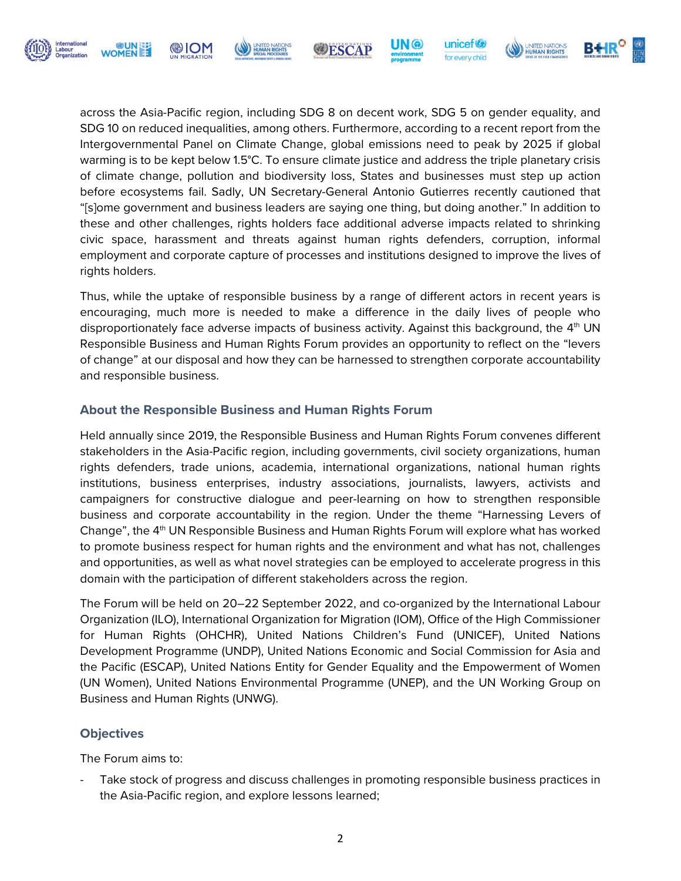

S ION®



**WESCAP** 

unicef<sup>®</sup>

for every child

UNITED NATIONS

Thus, while the uptake of responsible business by a range of different actors in recent years is encouraging, much more is needed to make a difference in the daily lives of people who disproportionately face adverse impacts of business activity. Against this background, the  $4<sup>th</sup>$  UN Responsible Business and Human Rights Forum provides an opportunity to reflect on the "levers of change" at our disposal and how they can be harnessed to strengthen corporate accountability and responsible business.

#### **About the Responsible Business and Human Rights Forum**

Held annually since 2019, the Responsible Business and Human Rights Forum convenes different stakeholders in the Asia-Pacific region, including governments, civil society organizations, human rights defenders, trade unions, academia, international organizations, national human rights institutions, business enterprises, industry associations, journalists, lawyers, activists and campaigners for constructive dialogue and peer-learning on how to strengthen responsible business and corporate accountability in the region. Under the theme "Harnessing Levers of Change", the 4th UN Responsible Business and Human Rights Forum will explore what has worked to promote business respect for human rights and the environment and what has not, challenges and opportunities, as well as what novel strategies can be employed to accelerate progress in this domain with the participation of different stakeholders across the region.

The Forum will be held on 20–22 September 2022, and co-organized by the International Labour Organization (ILO), International Organization for Migration (IOM), Office of the High Commissioner for Human Rights (OHCHR), United Nations Children's Fund (UNICEF), United Nations Development Programme (UNDP), United Nations Economic and Social Commission for Asia and the Pacific (ESCAP), United Nations Entity for Gender Equality and the Empowerment of Women (UN Women), United Nations Environmental Programme (UNEP), and the UN Working Group on Business and Human Rights (UNWG).

#### **Objectives**

The Forum aims to:

Take stock of progress and discuss challenges in promoting responsible business practices in the Asia-Pacific region, and explore lessons learned;